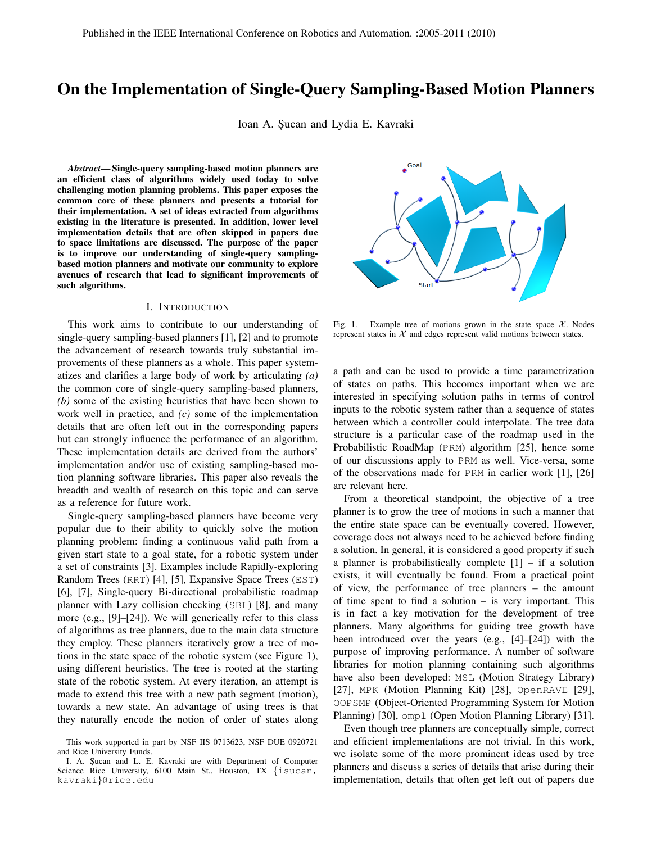# On the Implementation of Single-Query Sampling-Based Motion Planners

Ioan A. Sucan and Lydia E. Kavraki

*Abstract*— Single-query sampling-based motion planners are an efficient class of algorithms widely used today to solve challenging motion planning problems. This paper exposes the common core of these planners and presents a tutorial for their implementation. A set of ideas extracted from algorithms existing in the literature is presented. In addition, lower level implementation details that are often skipped in papers due to space limitations are discussed. The purpose of the paper is to improve our understanding of single-query samplingbased motion planners and motivate our community to explore avenues of research that lead to significant improvements of such algorithms.

#### I. INTRODUCTION

This work aims to contribute to our understanding of single-query sampling-based planners [1], [2] and to promote the advancement of research towards truly substantial improvements of these planners as a whole. This paper systematizes and clarifies a large body of work by articulating *(a)* the common core of single-query sampling-based planners, *(b)* some of the existing heuristics that have been shown to work well in practice, and *(c)* some of the implementation details that are often left out in the corresponding papers but can strongly influence the performance of an algorithm. These implementation details are derived from the authors' implementation and/or use of existing sampling-based motion planning software libraries. This paper also reveals the breadth and wealth of research on this topic and can serve as a reference for future work.

Single-query sampling-based planners have become very popular due to their ability to quickly solve the motion planning problem: finding a continuous valid path from a given start state to a goal state, for a robotic system under a set of constraints [3]. Examples include Rapidly-exploring Random Trees (RRT) [4], [5], Expansive Space Trees (EST) [6], [7], Single-query Bi-directional probabilistic roadmap planner with Lazy collision checking (SBL) [8], and many more (e.g., [9]–[24]). We will generically refer to this class of algorithms as tree planners, due to the main data structure they employ. These planners iteratively grow a tree of motions in the state space of the robotic system (see Figure 1), using different heuristics. The tree is rooted at the starting state of the robotic system. At every iteration, an attempt is made to extend this tree with a new path segment (motion), towards a new state. An advantage of using trees is that they naturally encode the notion of order of states along



Fig. 1. Example tree of motions grown in the state space  $X$ . Nodes represent states in  $X$  and edges represent valid motions between states.

a path and can be used to provide a time parametrization of states on paths. This becomes important when we are interested in specifying solution paths in terms of control inputs to the robotic system rather than a sequence of states between which a controller could interpolate. The tree data structure is a particular case of the roadmap used in the Probabilistic RoadMap (PRM) algorithm [25], hence some of our discussions apply to PRM as well. Vice-versa, some of the observations made for PRM in earlier work [1], [26] are relevant here.

From a theoretical standpoint, the objective of a tree planner is to grow the tree of motions in such a manner that the entire state space can be eventually covered. However, coverage does not always need to be achieved before finding a solution. In general, it is considered a good property if such a planner is probabilistically complete  $[1]$  – if a solution exists, it will eventually be found. From a practical point of view, the performance of tree planners – the amount of time spent to find a solution – is very important. This is in fact a key motivation for the development of tree planners. Many algorithms for guiding tree growth have been introduced over the years (e.g., [4]–[24]) with the purpose of improving performance. A number of software libraries for motion planning containing such algorithms have also been developed: MSL (Motion Strategy Library) [27], MPK (Motion Planning Kit) [28], OpenRAVE [29], OOPSMP (Object-Oriented Programming System for Motion Planning) [30], ompl (Open Motion Planning Library) [31].

Even though tree planners are conceptually simple, correct and efficient implementations are not trivial. In this work, we isolate some of the more prominent ideas used by tree planners and discuss a series of details that arise during their implementation, details that often get left out of papers due

This work supported in part by NSF IIS 0713623, NSF DUE 0920721 and Rice University Funds.

I. A. Şucan and L. E. Kavraki are with Department of Computer Science Rice University, 6100 Main St., Houston, TX {isucan, kavraki}@rice.edu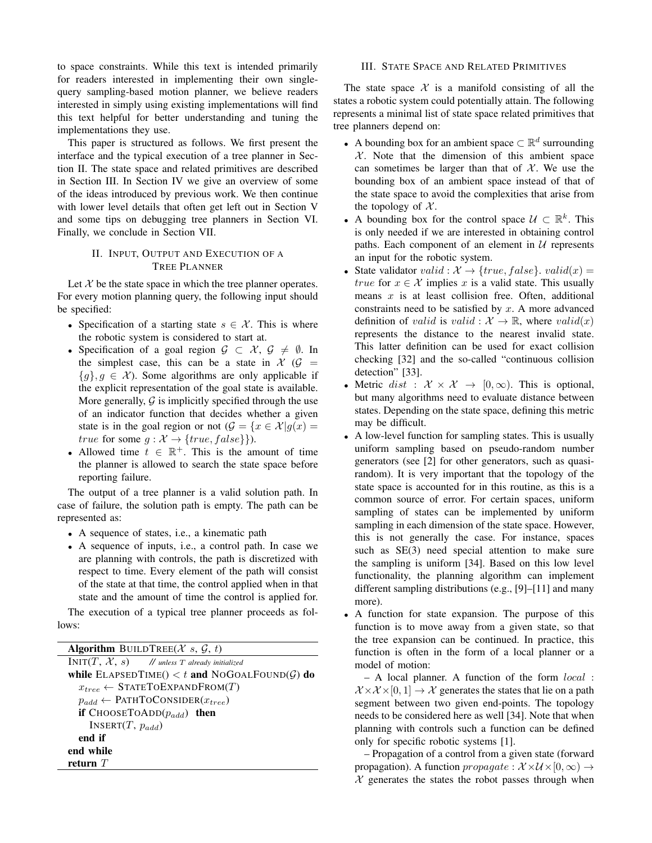to space constraints. While this text is intended primarily for readers interested in implementing their own singlequery sampling-based motion planner, we believe readers interested in simply using existing implementations will find this text helpful for better understanding and tuning the implementations they use.

This paper is structured as follows. We first present the interface and the typical execution of a tree planner in Section II. The state space and related primitives are described in Section III. In Section IV we give an overview of some of the ideas introduced by previous work. We then continue with lower level details that often get left out in Section V and some tips on debugging tree planners in Section VI. Finally, we conclude in Section VII.

# II. INPUT, OUTPUT AND EXECUTION OF A TREE PLANNER

Let  $X$  be the state space in which the tree planner operates. For every motion planning query, the following input should be specified:

- Specification of a starting state  $s \in \mathcal{X}$ . This is where the robotic system is considered to start at.
- Specification of a goal region  $G \subset \mathcal{X}, G \neq \emptyset$ . In the simplest case, this can be a state in  $\mathcal{X}$  ( $\mathcal{G}$  =  ${g}, g \in \mathcal{X}$ ). Some algorithms are only applicable if the explicit representation of the goal state is available. More generally,  $\mathcal G$  is implicitly specified through the use of an indicator function that decides whether a given state is in the goal region or not  $\mathcal{G} = \{x \in \mathcal{X} | g(x) =$ true for some  $g : \mathcal{X} \rightarrow \{true, false\}\}.$
- Allowed time  $t \in \mathbb{R}^+$ . This is the amount of time the planner is allowed to search the state space before reporting failure.

The output of a tree planner is a valid solution path. In case of failure, the solution path is empty. The path can be represented as:

- A sequence of states, i.e., a kinematic path
- A sequence of inputs, i.e., a control path. In case we are planning with controls, the path is discretized with respect to time. Every element of the path will consist of the state at that time, the control applied when in that state and the amount of time the control is applied for.

The execution of a typical tree planner proceeds as follows:

| <b>Algorithm</b> BUILDTREE( <i>X s, G, t</i> )                |  |  |  |  |
|---------------------------------------------------------------|--|--|--|--|
| $INT(T, \mathcal{X}, s)$ // unless T already initialized      |  |  |  |  |
| while ELAPSEDTIME() $<$ t and NOGOALFOUND( $\mathcal{G}$ ) do |  |  |  |  |
| $x_{tree} \leftarrow$ STATETOEXPANDFROM(T)                    |  |  |  |  |
| $p_{add} \leftarrow \text{PATHTOConsIDER}(x_{tree})$          |  |  |  |  |
| <b>if</b> CHOOSETOADD $(p_{add})$ then                        |  |  |  |  |
| INSERT $(T, p_{add})$                                         |  |  |  |  |
| end if                                                        |  |  |  |  |
| end while                                                     |  |  |  |  |
| return $T$                                                    |  |  |  |  |
|                                                               |  |  |  |  |

## III. STATE SPACE AND RELATED PRIMITIVES

The state space  $X$  is a manifold consisting of all the states a robotic system could potentially attain. The following represents a minimal list of state space related primitives that tree planners depend on:

- A bounding box for an ambient space  $\subset \mathbb{R}^d$  surrounding  $X$ . Note that the dimension of this ambient space can sometimes be larger than that of  $X$ . We use the bounding box of an ambient space instead of that of the state space to avoid the complexities that arise from the topology of  $\mathcal{X}$ .
- A bounding box for the control space  $\mathcal{U} \subset \mathbb{R}^k$ . This is only needed if we are interested in obtaining control paths. Each component of an element in  $U$  represents an input for the robotic system.
- State validator *valid* :  $\mathcal{X} \rightarrow \{true, false\}$ . *valid*(*x*) = true for  $x \in \mathcal{X}$  implies x is a valid state. This usually means  $x$  is at least collision free. Often, additional constraints need to be satisfied by  $x$ . A more advanced definition of *valid* is *valid* :  $\mathcal{X} \to \mathbb{R}$ , where *valid*(*x*) represents the distance to the nearest invalid state. This latter definition can be used for exact collision checking [32] and the so-called "continuous collision detection" [33].
- Metric dist :  $\mathcal{X} \times \mathcal{X} \rightarrow [0,\infty)$ . This is optional, but many algorithms need to evaluate distance between states. Depending on the state space, defining this metric may be difficult.
- A low-level function for sampling states. This is usually uniform sampling based on pseudo-random number generators (see [2] for other generators, such as quasirandom). It is very important that the topology of the state space is accounted for in this routine, as this is a common source of error. For certain spaces, uniform sampling of states can be implemented by uniform sampling in each dimension of the state space. However, this is not generally the case. For instance, spaces such as SE(3) need special attention to make sure the sampling is uniform [34]. Based on this low level functionality, the planning algorithm can implement different sampling distributions (e.g., [9]–[11] and many more).
- A function for state expansion. The purpose of this function is to move away from a given state, so that the tree expansion can be continued. In practice, this function is often in the form of a local planner or a model of motion:

– A local planner. A function of the form local :  $\mathcal{X} \times \mathcal{X} \times [0, 1] \rightarrow \mathcal{X}$  generates the states that lie on a path segment between two given end-points. The topology needs to be considered here as well [34]. Note that when planning with controls such a function can be defined only for specific robotic systems [1].

– Propagation of a control from a given state (forward propagation). A function  $propagate : \mathcal{X} \times \mathcal{U} \times [0, \infty) \rightarrow$  $X$  generates the states the robot passes through when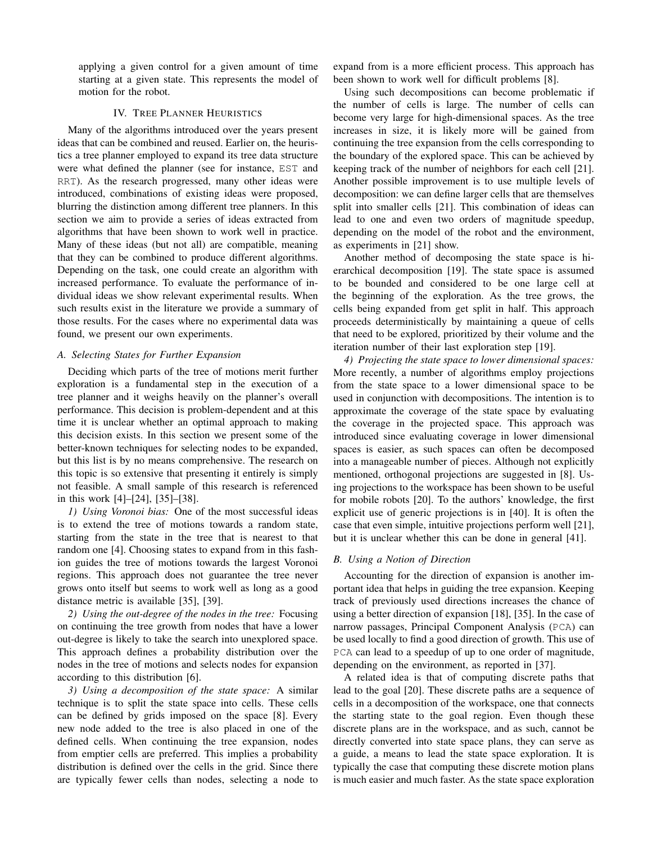applying a given control for a given amount of time starting at a given state. This represents the model of motion for the robot.

#### IV. TREE PLANNER HEURISTICS

Many of the algorithms introduced over the years present ideas that can be combined and reused. Earlier on, the heuristics a tree planner employed to expand its tree data structure were what defined the planner (see for instance, EST and RRT). As the research progressed, many other ideas were introduced, combinations of existing ideas were proposed, blurring the distinction among different tree planners. In this section we aim to provide a series of ideas extracted from algorithms that have been shown to work well in practice. Many of these ideas (but not all) are compatible, meaning that they can be combined to produce different algorithms. Depending on the task, one could create an algorithm with increased performance. To evaluate the performance of individual ideas we show relevant experimental results. When such results exist in the literature we provide a summary of those results. For the cases where no experimental data was found, we present our own experiments.

## *A. Selecting States for Further Expansion*

Deciding which parts of the tree of motions merit further exploration is a fundamental step in the execution of a tree planner and it weighs heavily on the planner's overall performance. This decision is problem-dependent and at this time it is unclear whether an optimal approach to making this decision exists. In this section we present some of the better-known techniques for selecting nodes to be expanded, but this list is by no means comprehensive. The research on this topic is so extensive that presenting it entirely is simply not feasible. A small sample of this research is referenced in this work [4]–[24], [35]–[38].

*1) Using Voronoi bias:* One of the most successful ideas is to extend the tree of motions towards a random state, starting from the state in the tree that is nearest to that random one [4]. Choosing states to expand from in this fashion guides the tree of motions towards the largest Voronoi regions. This approach does not guarantee the tree never grows onto itself but seems to work well as long as a good distance metric is available [35], [39].

*2) Using the out-degree of the nodes in the tree:* Focusing on continuing the tree growth from nodes that have a lower out-degree is likely to take the search into unexplored space. This approach defines a probability distribution over the nodes in the tree of motions and selects nodes for expansion according to this distribution [6].

*3) Using a decomposition of the state space:* A similar technique is to split the state space into cells. These cells can be defined by grids imposed on the space [8]. Every new node added to the tree is also placed in one of the defined cells. When continuing the tree expansion, nodes from emptier cells are preferred. This implies a probability distribution is defined over the cells in the grid. Since there are typically fewer cells than nodes, selecting a node to

expand from is a more efficient process. This approach has been shown to work well for difficult problems [8].

Using such decompositions can become problematic if the number of cells is large. The number of cells can become very large for high-dimensional spaces. As the tree increases in size, it is likely more will be gained from continuing the tree expansion from the cells corresponding to the boundary of the explored space. This can be achieved by keeping track of the number of neighbors for each cell [21]. Another possible improvement is to use multiple levels of decomposition: we can define larger cells that are themselves split into smaller cells [21]. This combination of ideas can lead to one and even two orders of magnitude speedup, depending on the model of the robot and the environment, as experiments in [21] show.

Another method of decomposing the state space is hierarchical decomposition [19]. The state space is assumed to be bounded and considered to be one large cell at the beginning of the exploration. As the tree grows, the cells being expanded from get split in half. This approach proceeds deterministically by maintaining a queue of cells that need to be explored, prioritized by their volume and the iteration number of their last exploration step [19].

*4) Projecting the state space to lower dimensional spaces:* More recently, a number of algorithms employ projections from the state space to a lower dimensional space to be used in conjunction with decompositions. The intention is to approximate the coverage of the state space by evaluating the coverage in the projected space. This approach was introduced since evaluating coverage in lower dimensional spaces is easier, as such spaces can often be decomposed into a manageable number of pieces. Although not explicitly mentioned, orthogonal projections are suggested in [8]. Using projections to the workspace has been shown to be useful for mobile robots [20]. To the authors' knowledge, the first explicit use of generic projections is in [40]. It is often the case that even simple, intuitive projections perform well [21], but it is unclear whether this can be done in general [41].

## *B. Using a Notion of Direction*

Accounting for the direction of expansion is another important idea that helps in guiding the tree expansion. Keeping track of previously used directions increases the chance of using a better direction of expansion [18], [35]. In the case of narrow passages, Principal Component Analysis (PCA) can be used locally to find a good direction of growth. This use of PCA can lead to a speedup of up to one order of magnitude, depending on the environment, as reported in [37].

A related idea is that of computing discrete paths that lead to the goal [20]. These discrete paths are a sequence of cells in a decomposition of the workspace, one that connects the starting state to the goal region. Even though these discrete plans are in the workspace, and as such, cannot be directly converted into state space plans, they can serve as a guide, a means to lead the state space exploration. It is typically the case that computing these discrete motion plans is much easier and much faster. As the state space exploration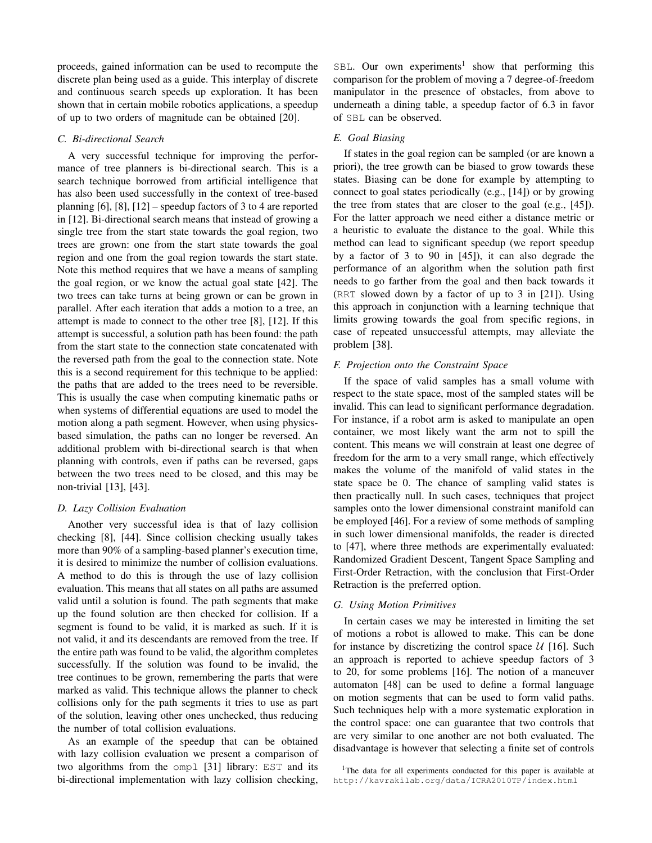proceeds, gained information can be used to recompute the discrete plan being used as a guide. This interplay of discrete and continuous search speeds up exploration. It has been shown that in certain mobile robotics applications, a speedup of up to two orders of magnitude can be obtained [20].

## *C. Bi-directional Search*

A very successful technique for improving the performance of tree planners is bi-directional search. This is a search technique borrowed from artificial intelligence that has also been used successfully in the context of tree-based planning [6], [8], [12] – speedup factors of 3 to 4 are reported in [12]. Bi-directional search means that instead of growing a single tree from the start state towards the goal region, two trees are grown: one from the start state towards the goal region and one from the goal region towards the start state. Note this method requires that we have a means of sampling the goal region, or we know the actual goal state [42]. The two trees can take turns at being grown or can be grown in parallel. After each iteration that adds a motion to a tree, an attempt is made to connect to the other tree [8], [12]. If this attempt is successful, a solution path has been found: the path from the start state to the connection state concatenated with the reversed path from the goal to the connection state. Note this is a second requirement for this technique to be applied: the paths that are added to the trees need to be reversible. This is usually the case when computing kinematic paths or when systems of differential equations are used to model the motion along a path segment. However, when using physicsbased simulation, the paths can no longer be reversed. An additional problem with bi-directional search is that when planning with controls, even if paths can be reversed, gaps between the two trees need to be closed, and this may be non-trivial [13], [43].

## *D. Lazy Collision Evaluation*

Another very successful idea is that of lazy collision checking [8], [44]. Since collision checking usually takes more than 90% of a sampling-based planner's execution time, it is desired to minimize the number of collision evaluations. A method to do this is through the use of lazy collision evaluation. This means that all states on all paths are assumed valid until a solution is found. The path segments that make up the found solution are then checked for collision. If a segment is found to be valid, it is marked as such. If it is not valid, it and its descendants are removed from the tree. If the entire path was found to be valid, the algorithm completes successfully. If the solution was found to be invalid, the tree continues to be grown, remembering the parts that were marked as valid. This technique allows the planner to check collisions only for the path segments it tries to use as part of the solution, leaving other ones unchecked, thus reducing the number of total collision evaluations.

As an example of the speedup that can be obtained with lazy collision evaluation we present a comparison of two algorithms from the ompl [31] library: EST and its bi-directional implementation with lazy collision checking,

SBL. Our own experiments<sup>1</sup> show that performing this comparison for the problem of moving a 7 degree-of-freedom manipulator in the presence of obstacles, from above to underneath a dining table, a speedup factor of 6.3 in favor of SBL can be observed.

#### *E. Goal Biasing*

If states in the goal region can be sampled (or are known a priori), the tree growth can be biased to grow towards these states. Biasing can be done for example by attempting to connect to goal states periodically (e.g., [14]) or by growing the tree from states that are closer to the goal (e.g., [45]). For the latter approach we need either a distance metric or a heuristic to evaluate the distance to the goal. While this method can lead to significant speedup (we report speedup by a factor of 3 to 90 in [45]), it can also degrade the performance of an algorithm when the solution path first needs to go farther from the goal and then back towards it (RRT slowed down by a factor of up to 3 in [21]). Using this approach in conjunction with a learning technique that limits growing towards the goal from specific regions, in case of repeated unsuccessful attempts, may alleviate the problem [38].

### *F. Projection onto the Constraint Space*

If the space of valid samples has a small volume with respect to the state space, most of the sampled states will be invalid. This can lead to significant performance degradation. For instance, if a robot arm is asked to manipulate an open container, we most likely want the arm not to spill the content. This means we will constrain at least one degree of freedom for the arm to a very small range, which effectively makes the volume of the manifold of valid states in the state space be 0. The chance of sampling valid states is then practically null. In such cases, techniques that project samples onto the lower dimensional constraint manifold can be employed [46]. For a review of some methods of sampling in such lower dimensional manifolds, the reader is directed to [47], where three methods are experimentally evaluated: Randomized Gradient Descent, Tangent Space Sampling and First-Order Retraction, with the conclusion that First-Order Retraction is the preferred option.

#### *G. Using Motion Primitives*

In certain cases we may be interested in limiting the set of motions a robot is allowed to make. This can be done for instance by discretizing the control space  $U$  [16]. Such an approach is reported to achieve speedup factors of 3 to 20, for some problems [16]. The notion of a maneuver automaton [48] can be used to define a formal language on motion segments that can be used to form valid paths. Such techniques help with a more systematic exploration in the control space: one can guarantee that two controls that are very similar to one another are not both evaluated. The disadvantage is however that selecting a finite set of controls

<sup>&</sup>lt;sup>1</sup>The data for all experiments conducted for this paper is available at http://kavrakilab.org/data/ICRA2010TP/index.html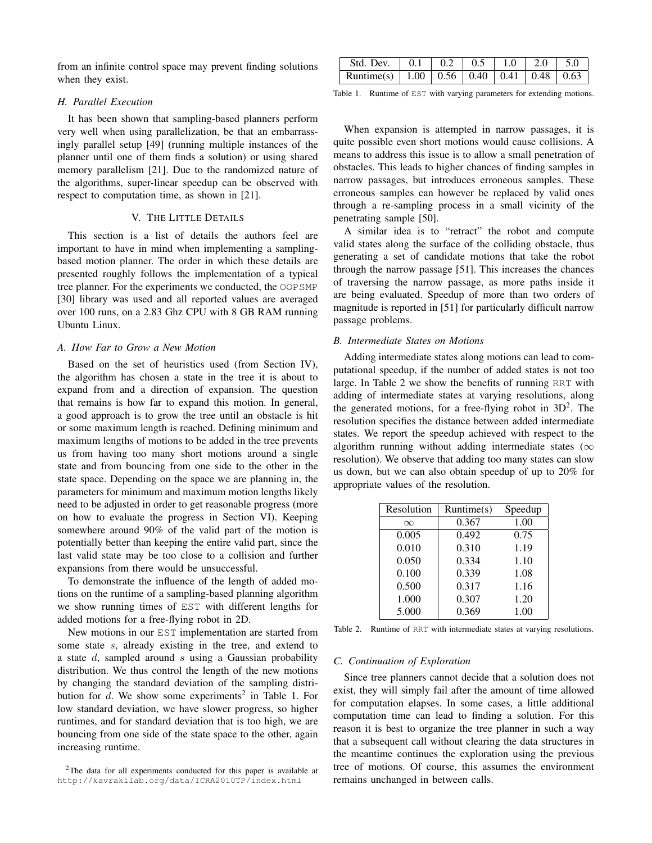from an infinite control space may prevent finding solutions when they exist.

#### *H. Parallel Execution*

It has been shown that sampling-based planners perform very well when using parallelization, be that an embarrassingly parallel setup [49] (running multiple instances of the planner until one of them finds a solution) or using shared memory parallelism [21]. Due to the randomized nature of the algorithms, super-linear speedup can be observed with respect to computation time, as shown in [21].

## V. THE LITTLE DETAILS

This section is a list of details the authors feel are important to have in mind when implementing a samplingbased motion planner. The order in which these details are presented roughly follows the implementation of a typical tree planner. For the experiments we conducted, the OOPSMP [30] library was used and all reported values are averaged over 100 runs, on a 2.83 Ghz CPU with 8 GB RAM running Ubuntu Linux.

## *A. How Far to Grow a New Motion*

Based on the set of heuristics used (from Section IV), the algorithm has chosen a state in the tree it is about to expand from and a direction of expansion. The question that remains is how far to expand this motion. In general, a good approach is to grow the tree until an obstacle is hit or some maximum length is reached. Defining minimum and maximum lengths of motions to be added in the tree prevents us from having too many short motions around a single state and from bouncing from one side to the other in the state space. Depending on the space we are planning in, the parameters for minimum and maximum motion lengths likely need to be adjusted in order to get reasonable progress (more on how to evaluate the progress in Section VI). Keeping somewhere around 90% of the valid part of the motion is potentially better than keeping the entire valid part, since the last valid state may be too close to a collision and further expansions from there would be unsuccessful.

To demonstrate the influence of the length of added motions on the runtime of a sampling-based planning algorithm we show running times of EST with different lengths for added motions for a free-flying robot in 2D.

New motions in our EST implementation are started from some state s, already existing in the tree, and extend to a state  $d$ , sampled around  $s$  using a Gaussian probability distribution. We thus control the length of the new motions by changing the standard deviation of the sampling distribution for  $d$ . We show some experiments<sup>2</sup> in Table 1. For low standard deviation, we have slower progress, so higher runtimes, and for standard deviation that is too high, we are bouncing from one side of the state space to the other, again increasing runtime.

| Runtime(s)   1.00   0.56   0.40   0.41   0.48   0.63 |  |  |  |
|------------------------------------------------------|--|--|--|

Table 1. Runtime of EST with varying parameters for extending motions.

When expansion is attempted in narrow passages, it is quite possible even short motions would cause collisions. A means to address this issue is to allow a small penetration of obstacles. This leads to higher chances of finding samples in narrow passages, but introduces erroneous samples. These erroneous samples can however be replaced by valid ones through a re-sampling process in a small vicinity of the penetrating sample [50].

A similar idea is to "retract" the robot and compute valid states along the surface of the colliding obstacle, thus generating a set of candidate motions that take the robot through the narrow passage [51]. This increases the chances of traversing the narrow passage, as more paths inside it are being evaluated. Speedup of more than two orders of magnitude is reported in [51] for particularly difficult narrow passage problems.

## *B. Intermediate States on Motions*

Adding intermediate states along motions can lead to computational speedup, if the number of added states is not too large. In Table 2 we show the benefits of running RRT with adding of intermediate states at varying resolutions, along the generated motions, for a free-flying robot in  $3D^2$ . The resolution specifies the distance between added intermediate states. We report the speedup achieved with respect to the algorithm running without adding intermediate states ( $\infty$ resolution). We observe that adding too many states can slow us down, but we can also obtain speedup of up to 20% for appropriate values of the resolution.

| Resolution | Runtime(s) | Speedup |
|------------|------------|---------|
| $\infty$   | 0.367      | 1.00    |
| 0.005      | 0.492      | 0.75    |
| 0.010      | 0.310      | 1.19    |
| 0.050      | 0.334      | 1.10    |
| 0.100      | 0.339      | 1.08    |
| 0.500      | 0.317      | 1.16    |
| 1.000      | 0.307      | 1.20    |
| 5.000      | 0.369      | 1.00    |

Table 2. Runtime of RRT with intermediate states at varying resolutions.

#### *C. Continuation of Exploration*

Since tree planners cannot decide that a solution does not exist, they will simply fail after the amount of time allowed for computation elapses. In some cases, a little additional computation time can lead to finding a solution. For this reason it is best to organize the tree planner in such a way that a subsequent call without clearing the data structures in the meantime continues the exploration using the previous tree of motions. Of course, this assumes the environment remains unchanged in between calls.

<sup>&</sup>lt;sup>2</sup>The data for all experiments conducted for this paper is available at http://kavrakilab.org/data/ICRA2010TP/index.html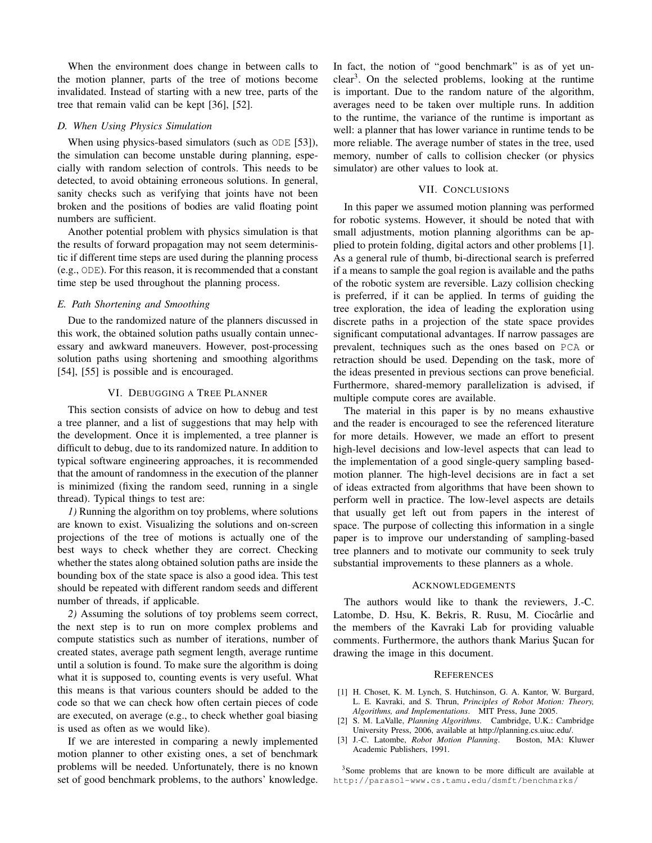When the environment does change in between calls to the motion planner, parts of the tree of motions become invalidated. Instead of starting with a new tree, parts of the tree that remain valid can be kept [36], [52].

#### *D. When Using Physics Simulation*

When using physics-based simulators (such as ODE [53]), the simulation can become unstable during planning, especially with random selection of controls. This needs to be detected, to avoid obtaining erroneous solutions. In general, sanity checks such as verifying that joints have not been broken and the positions of bodies are valid floating point numbers are sufficient.

Another potential problem with physics simulation is that the results of forward propagation may not seem deterministic if different time steps are used during the planning process (e.g., ODE). For this reason, it is recommended that a constant time step be used throughout the planning process.

## *E. Path Shortening and Smoothing*

Due to the randomized nature of the planners discussed in this work, the obtained solution paths usually contain unnecessary and awkward maneuvers. However, post-processing solution paths using shortening and smoothing algorithms [54], [55] is possible and is encouraged.

#### VI. DEBUGGING A TREE PLANNER

This section consists of advice on how to debug and test a tree planner, and a list of suggestions that may help with the development. Once it is implemented, a tree planner is difficult to debug, due to its randomized nature. In addition to typical software engineering approaches, it is recommended that the amount of randomness in the execution of the planner is minimized (fixing the random seed, running in a single thread). Typical things to test are:

*1)* Running the algorithm on toy problems, where solutions are known to exist. Visualizing the solutions and on-screen projections of the tree of motions is actually one of the best ways to check whether they are correct. Checking whether the states along obtained solution paths are inside the bounding box of the state space is also a good idea. This test should be repeated with different random seeds and different number of threads, if applicable.

*2)* Assuming the solutions of toy problems seem correct, the next step is to run on more complex problems and compute statistics such as number of iterations, number of created states, average path segment length, average runtime until a solution is found. To make sure the algorithm is doing what it is supposed to, counting events is very useful. What this means is that various counters should be added to the code so that we can check how often certain pieces of code are executed, on average (e.g., to check whether goal biasing is used as often as we would like).

If we are interested in comparing a newly implemented motion planner to other existing ones, a set of benchmark problems will be needed. Unfortunately, there is no known set of good benchmark problems, to the authors' knowledge.

In fact, the notion of "good benchmark" is as of yet unclear<sup>3</sup>. On the selected problems, looking at the runtime is important. Due to the random nature of the algorithm, averages need to be taken over multiple runs. In addition to the runtime, the variance of the runtime is important as well: a planner that has lower variance in runtime tends to be more reliable. The average number of states in the tree, used memory, number of calls to collision checker (or physics simulator) are other values to look at.

## VII. CONCLUSIONS

In this paper we assumed motion planning was performed for robotic systems. However, it should be noted that with small adjustments, motion planning algorithms can be applied to protein folding, digital actors and other problems [1]. As a general rule of thumb, bi-directional search is preferred if a means to sample the goal region is available and the paths of the robotic system are reversible. Lazy collision checking is preferred, if it can be applied. In terms of guiding the tree exploration, the idea of leading the exploration using discrete paths in a projection of the state space provides significant computational advantages. If narrow passages are prevalent, techniques such as the ones based on PCA or retraction should be used. Depending on the task, more of the ideas presented in previous sections can prove beneficial. Furthermore, shared-memory parallelization is advised, if multiple compute cores are available.

The material in this paper is by no means exhaustive and the reader is encouraged to see the referenced literature for more details. However, we made an effort to present high-level decisions and low-level aspects that can lead to the implementation of a good single-query sampling basedmotion planner. The high-level decisions are in fact a set of ideas extracted from algorithms that have been shown to perform well in practice. The low-level aspects are details that usually get left out from papers in the interest of space. The purpose of collecting this information in a single paper is to improve our understanding of sampling-based tree planners and to motivate our community to seek truly substantial improvements to these planners as a whole.

#### ACKNOWLEDGEMENTS

The authors would like to thank the reviewers, J.-C. Latombe, D. Hsu, K. Bekris, R. Rusu, M. Ciocârlie and the members of the Kavraki Lab for providing valuable comments. Furthermore, the authors thank Marius Sucan for drawing the image in this document.

#### **REFERENCES**

- [1] H. Choset, K. M. Lynch, S. Hutchinson, G. A. Kantor, W. Burgard, L. E. Kavraki, and S. Thrun, *Principles of Robot Motion: Theory, Algorithms, and Implementations*. MIT Press, June 2005.
- [2] S. M. LaValle, *Planning Algorithms*. Cambridge, U.K.: Cambridge University Press, 2006, available at http://planning.cs.uiuc.edu/.
- [3] J.-C. Latombe, *Robot Motion Planning*. Boston, MA: Kluwer Academic Publishers, 1991.

<sup>3</sup>Some problems that are known to be more difficult are available at http://parasol-www.cs.tamu.edu/dsmft/benchmarks/